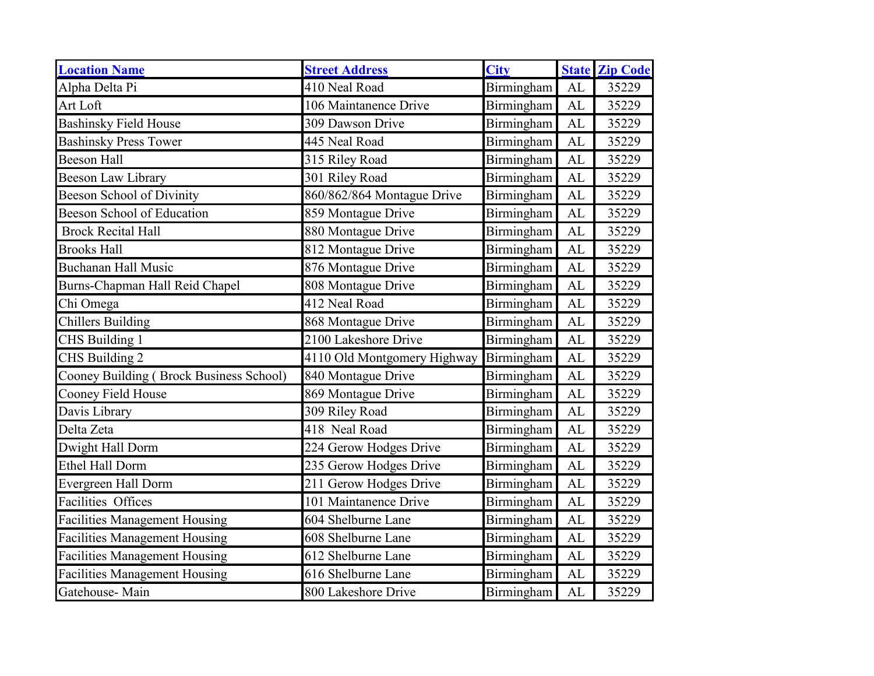| <b>Location Name</b>                    | <b>Street Address</b>       | <b>City</b> |           | <b>State Zip Code</b> |
|-----------------------------------------|-----------------------------|-------------|-----------|-----------------------|
| Alpha Delta Pi                          | 410 Neal Road               | Birmingham  | <b>AL</b> | 35229                 |
| Art Loft                                | 106 Maintanence Drive       | Birmingham  | AL        | 35229                 |
| <b>Bashinsky Field House</b>            | 309 Dawson Drive            | Birmingham  | AL        | 35229                 |
| <b>Bashinsky Press Tower</b>            | 445 Neal Road               | Birmingham  | <b>AL</b> | 35229                 |
| <b>Beeson Hall</b>                      | 315 Riley Road              | Birmingham  | AL        | 35229                 |
| Beeson Law Library                      | 301 Riley Road              | Birmingham  | AL        | 35229                 |
| <b>Beeson School of Divinity</b>        | 860/862/864 Montague Drive  | Birmingham  | AL        | 35229                 |
| <b>Beeson School of Education</b>       | 859 Montague Drive          | Birmingham  | AL        | 35229                 |
| <b>Brock Recital Hall</b>               | 880 Montague Drive          | Birmingham  | AL        | 35229                 |
| <b>Brooks Hall</b>                      | 812 Montague Drive          | Birmingham  | AL        | 35229                 |
| <b>Buchanan Hall Music</b>              | 876 Montague Drive          | Birmingham  | AL        | 35229                 |
| Burns-Chapman Hall Reid Chapel          | 808 Montague Drive          | Birmingham  | AL        | 35229                 |
| Chi Omega                               | 412 Neal Road               | Birmingham  | AL        | 35229                 |
| <b>Chillers Building</b>                | 868 Montague Drive          | Birmingham  | AL        | 35229                 |
| CHS Building 1                          | 2100 Lakeshore Drive        | Birmingham  | AL        | 35229                 |
| CHS Building 2                          | 4110 Old Montgomery Highway | Birmingham  | AL        | 35229                 |
| Cooney Building (Brock Business School) | 840 Montague Drive          | Birmingham  | AL        | 35229                 |
| Cooney Field House                      | 869 Montague Drive          | Birmingham  | AL        | 35229                 |
| Davis Library                           | 309 Riley Road              | Birmingham  | AL        | 35229                 |
| Delta Zeta                              | 418 Neal Road               | Birmingham  | <b>AL</b> | 35229                 |
| Dwight Hall Dorm                        | 224 Gerow Hodges Drive      | Birmingham  | AL        | 35229                 |
| Ethel Hall Dorm                         | 235 Gerow Hodges Drive      | Birmingham  | <b>AL</b> | 35229                 |
| Evergreen Hall Dorm                     | 211 Gerow Hodges Drive      | Birmingham  | AL        | 35229                 |
| <b>Facilities Offices</b>               | 101 Maintanence Drive       | Birmingham  | <b>AL</b> | 35229                 |
| <b>Facilities Management Housing</b>    | 604 Shelburne Lane          | Birmingham  | AL        | 35229                 |
| <b>Facilities Management Housing</b>    | 608 Shelburne Lane          | Birmingham  | AL        | 35229                 |
| <b>Facilities Management Housing</b>    | 612 Shelburne Lane          | Birmingham  | AL        | 35229                 |
| <b>Facilities Management Housing</b>    | 616 Shelburne Lane          | Birmingham  | <b>AL</b> | 35229                 |
| Gatehouse-Main                          | 800 Lakeshore Drive         | Birmingham  | AL        | 35229                 |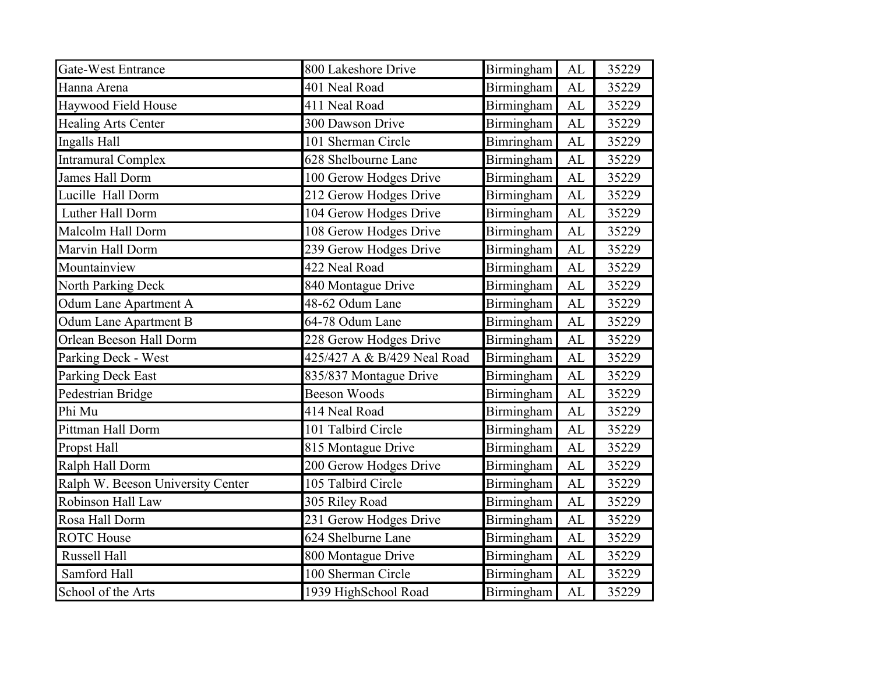| <b>Gate-West Entrance</b>         | 800 Lakeshore Drive         | Birmingham        | AL         | 35229 |
|-----------------------------------|-----------------------------|-------------------|------------|-------|
| Hanna Arena                       | 401 Neal Road               | Birmingham        | AL         | 35229 |
| Haywood Field House               | 411 Neal Road               | Birmingham        | <b>AL</b>  | 35229 |
| <b>Healing Arts Center</b>        | 300 Dawson Drive            | Birmingham        | AL         | 35229 |
| Ingalls Hall                      | 101 Sherman Circle          | Bimringham        | <b>AL</b>  | 35229 |
| <b>Intramural Complex</b>         | 628 Shelbourne Lane         | Birmingham        | AL         | 35229 |
| James Hall Dorm                   | 100 Gerow Hodges Drive      | Birmingham        | AL         | 35229 |
| Lucille Hall Dorm                 | 212 Gerow Hodges Drive      | Birmingham        | AL         | 35229 |
| Luther Hall Dorm                  | 104 Gerow Hodges Drive      | Birmingham        | AL         | 35229 |
| Malcolm Hall Dorm                 | 108 Gerow Hodges Drive      | Birmingham        | AL         | 35229 |
| Marvin Hall Dorm                  | 239 Gerow Hodges Drive      | Birmingham        | AL         | 35229 |
| Mountainview                      | 422 Neal Road               | Birmingham        | AL         | 35229 |
| North Parking Deck                | 840 Montague Drive          | Birmingham        | AL         | 35229 |
| Odum Lane Apartment A             | 48-62 Odum Lane             | Birmingham        | AL         | 35229 |
| Odum Lane Apartment B             | 64-78 Odum Lane             | Birmingham        | AL         | 35229 |
| Orlean Beeson Hall Dorm           | 228 Gerow Hodges Drive      | Birmingham        | AL         | 35229 |
| Parking Deck - West               | 425/427 A & B/429 Neal Road | Birmingham        | <b>AL</b>  | 35229 |
| <b>Parking Deck East</b>          | 835/837 Montague Drive      | Birmingham        | AL         | 35229 |
| Pedestrian Bridge                 | Beeson Woods                | Birmingham        | AL         | 35229 |
| Phi Mu                            | 414 Neal Road               | Birmingham        | AL         | 35229 |
| Pittman Hall Dorm                 | 101 Talbird Circle          | Birmingham        | <b>AL</b>  | 35229 |
| Propst Hall                       | 815 Montague Drive          | Birmingham        | AL         | 35229 |
| Ralph Hall Dorm                   | 200 Gerow Hodges Drive      | Birmingham        | AL         | 35229 |
| Ralph W. Beeson University Center | 105 Talbird Circle          | Birmingham        | AL         | 35229 |
| Robinson Hall Law                 | 305 Riley Road              | Birmingham        | AL         | 35229 |
| Rosa Hall Dorm                    | 231 Gerow Hodges Drive      | Birmingham        | AL         | 35229 |
| <b>ROTC</b> House                 | 624 Shelburne Lane          | Birmingham        | AL         | 35229 |
| Russell Hall                      | 800 Montague Drive          | Birmingham        | ${\rm AL}$ | 35229 |
| Samford Hall                      | 100 Sherman Circle          | Birmingham        | AL         | 35229 |
| School of the Arts                | 1939 HighSchool Road        | <b>Birmingham</b> | AL         | 35229 |